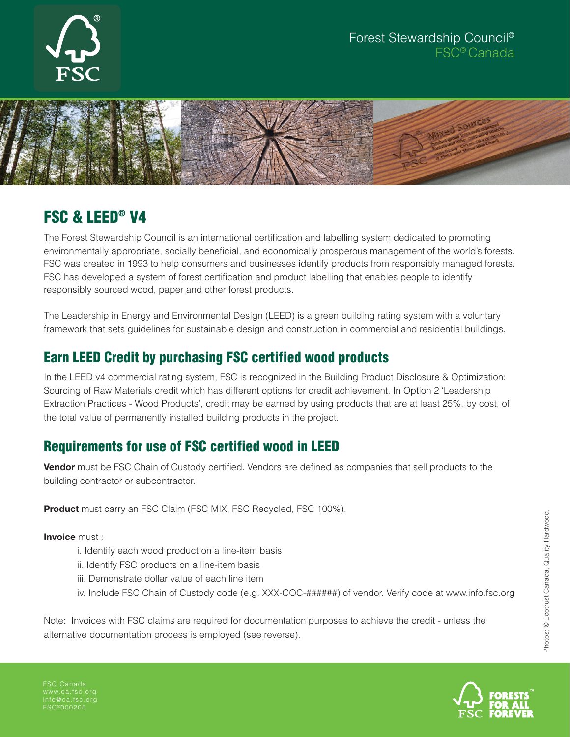

#### Forest Stewardship Council® FSC® Canada



# FSC & LEED® V4

The Forest Stewardship Council is an international certification and labelling system dedicated to promoting environmentally appropriate, socially beneficial, and economically prosperous management of the world's forests. FSC was created in 1993 to help consumers and businesses identify products from responsibly managed forests. FSC has developed a system of forest certification and product labelling that enables people to identify responsibly sourced wood, paper and other forest products.

The Leadership in Energy and Environmental Design (LEED) is a green building rating system with a voluntary framework that sets guidelines for sustainable design and construction in commercial and residential buildings.

## Earn LEED Credit by purchasing FSC certified wood products

In the LEED v4 commercial rating system, FSC is recognized in the Building Product Disclosure & Optimization: Sourcing of Raw Materials credit which has different options for credit achievement. In Option 2 'Leadership Extraction Practices - Wood Products', credit may be earned by using products that are at least 25%, by cost, of the total value of permanently installed building products in the project.

### Requirements for use of FSC certified wood in LEED

**Vendor** must be FSC Chain of Custody certified. Vendors are defined as companies that sell products to the building contractor or subcontractor.

**Product** must carry an FSC Claim (FSC MIX, FSC Recycled, FSC 100%).

**Invoice** must :

- i. Identify each wood product on a line-item basis
- ii. Identify FSC products on a line-item basis
- iii. Demonstrate dollar value of each line item
- iv. Include FSC Chain of Custody code (e.g. XXX-COC-######) of vendor. Verify code at www.info.fsc.org

Note: Invoices with FSC claims are required for documentation purposes to achieve the credit - unless the alternative documentation process is employed (see reverse).

FSC Canada info@ca.fsc.org